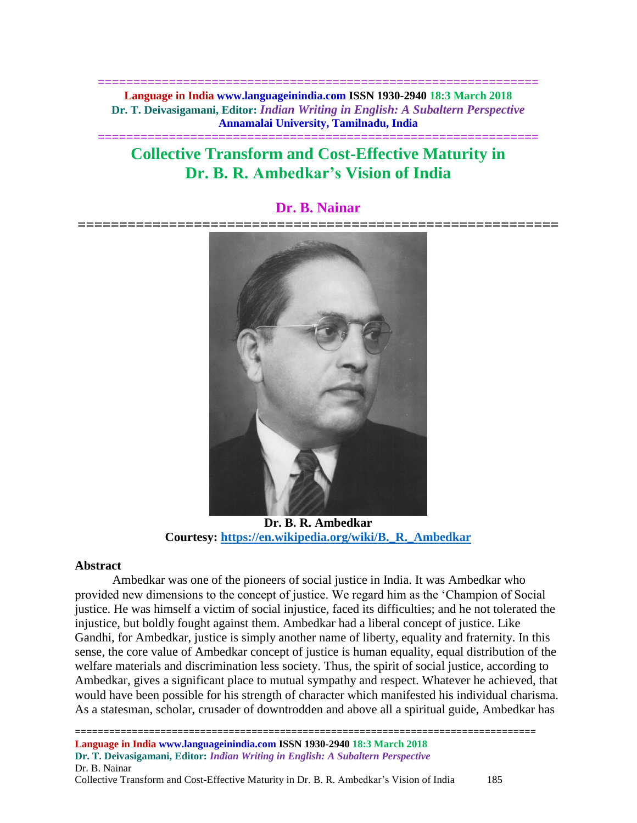**============================================================== Language in India www.languageinindia.com ISSN 1930-2940 18:3 March 2018 Dr. T. Deivasigamani, Editor:** *Indian Writing in English: A Subaltern Perspective* **Annamalai University, Tamilnadu, India**

**==============================================================**

# **Collective Transform and Cost-Effective Maturity in Dr. B. R. Ambedkar's Vision of India**

## **Dr. B. Nainar**



**Dr. B. R. Ambedkar Courtesy: [https://en.wikipedia.org/wiki/B.\\_R.\\_Ambedkar](https://en.wikipedia.org/wiki/B._R._Ambedkar)**

## **Abstract**

Ambedkar was one of the pioneers of social justice in India. It was Ambedkar who provided new dimensions to the concept of justice. We regard him as the 'Champion of Social justice. He was himself a victim of social injustice, faced its difficulties; and he not tolerated the injustice, but boldly fought against them. Ambedkar had a liberal concept of justice. Like Gandhi, for Ambedkar, justice is simply another name of liberty, equality and fraternity. In this sense, the core value of Ambedkar concept of justice is human equality, equal distribution of the welfare materials and discrimination less society. Thus, the spirit of social justice, according to Ambedkar, gives a significant place to mutual sympathy and respect. Whatever he achieved, that would have been possible for his strength of character which manifested his individual charisma. As a statesman, scholar, crusader of downtrodden and above all a spiritual guide, Ambedkar has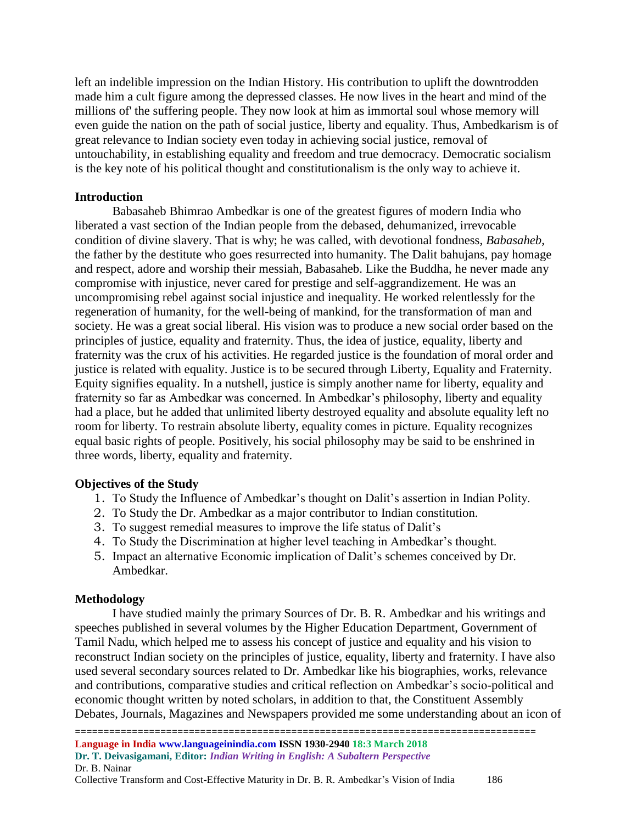left an indelible impression on the Indian History. His contribution to uplift the downtrodden made him a cult figure among the depressed classes. He now lives in the heart and mind of the millions of' the suffering people. They now look at him as immortal soul whose memory will even guide the nation on the path of social justice, liberty and equality. Thus, Ambedkarism is of great relevance to Indian society even today in achieving social justice, removal of untouchability, in establishing equality and freedom and true democracy. Democratic socialism is the key note of his political thought and constitutionalism is the only way to achieve it.

## **Introduction**

Babasaheb Bhimrao Ambedkar is one of the greatest figures of modern India who liberated a vast section of the Indian people from the debased, dehumanized, irrevocable condition of divine slavery. That is why; he was called, with devotional fondness, *Babasaheb*, the father by the destitute who goes resurrected into humanity. The Dalit bahujans, pay homage and respect, adore and worship their messiah, Babasaheb. Like the Buddha, he never made any compromise with injustice, never cared for prestige and self-aggrandizement. He was an uncompromising rebel against social injustice and inequality. He worked relentlessly for the regeneration of humanity, for the well-being of mankind, for the transformation of man and society. He was a great social liberal. His vision was to produce a new social order based on the principles of justice, equality and fraternity. Thus, the idea of justice, equality, liberty and fraternity was the crux of his activities. He regarded justice is the foundation of moral order and justice is related with equality. Justice is to be secured through Liberty, Equality and Fraternity. Equity signifies equality. In a nutshell, justice is simply another name for liberty, equality and fraternity so far as Ambedkar was concerned. In Ambedkar's philosophy, liberty and equality had a place, but he added that unlimited liberty destroyed equality and absolute equality left no room for liberty. To restrain absolute liberty, equality comes in picture. Equality recognizes equal basic rights of people. Positively, his social philosophy may be said to be enshrined in three words, liberty, equality and fraternity.

## **Objectives of the Study**

- 1. To Study the Influence of Ambedkar's thought on Dalit's assertion in Indian Polity.
- 2. To Study the Dr. Ambedkar as a major contributor to Indian constitution.
- 3. To suggest remedial measures to improve the life status of Dalit's
- 4. To Study the Discrimination at higher level teaching in Ambedkar's thought.
- 5. Impact an alternative Economic implication of Dalit's schemes conceived by Dr. Ambedkar.

## **Methodology**

I have studied mainly the primary Sources of Dr. B. R. Ambedkar and his writings and speeches published in several volumes by the Higher Education Department, Government of Tamil Nadu, which helped me to assess his concept of justice and equality and his vision to reconstruct Indian society on the principles of justice, equality, liberty and fraternity. I have also used several secondary sources related to Dr. Ambedkar like his biographies, works, relevance and contributions, comparative studies and critical reflection on Ambedkar's socio-political and economic thought written by noted scholars, in addition to that, the Constituent Assembly Debates, Journals, Magazines and Newspapers provided me some understanding about an icon of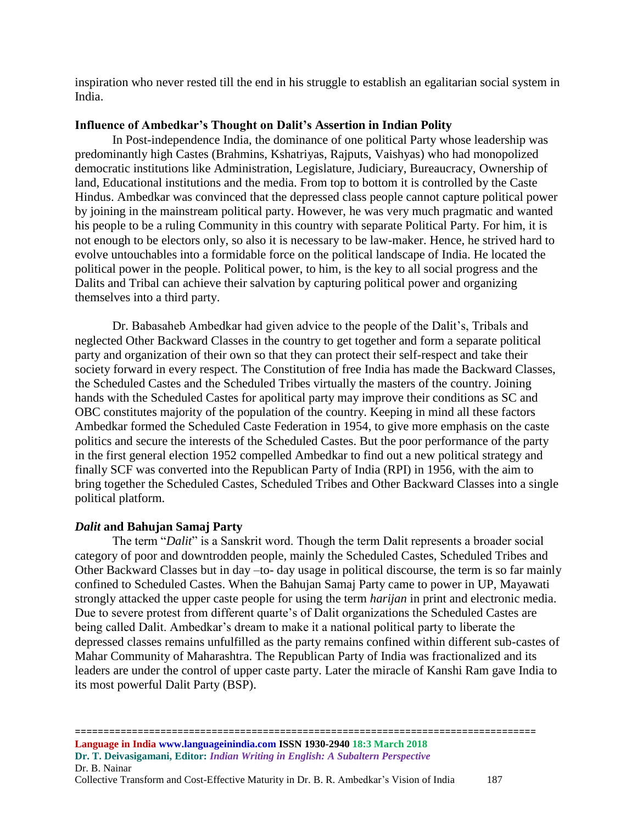inspiration who never rested till the end in his struggle to establish an egalitarian social system in India.

## **Influence of Ambedkar's Thought on Dalit's Assertion in Indian Polity**

In Post-independence India, the dominance of one political Party whose leadership was predominantly high Castes (Brahmins, Kshatriyas, Rajputs, Vaishyas) who had monopolized democratic institutions like Administration, Legislature, Judiciary, Bureaucracy, Ownership of land, Educational institutions and the media. From top to bottom it is controlled by the Caste Hindus. Ambedkar was convinced that the depressed class people cannot capture political power by joining in the mainstream political party. However, he was very much pragmatic and wanted his people to be a ruling Community in this country with separate Political Party. For him, it is not enough to be electors only, so also it is necessary to be law-maker. Hence, he strived hard to evolve untouchables into a formidable force on the political landscape of India. He located the political power in the people. Political power, to him, is the key to all social progress and the Dalits and Tribal can achieve their salvation by capturing political power and organizing themselves into a third party.

Dr. Babasaheb Ambedkar had given advice to the people of the Dalit's, Tribals and neglected Other Backward Classes in the country to get together and form a separate political party and organization of their own so that they can protect their self-respect and take their society forward in every respect. The Constitution of free India has made the Backward Classes, the Scheduled Castes and the Scheduled Tribes virtually the masters of the country. Joining hands with the Scheduled Castes for apolitical party may improve their conditions as SC and OBC constitutes majority of the population of the country. Keeping in mind all these factors Ambedkar formed the Scheduled Caste Federation in 1954, to give more emphasis on the caste politics and secure the interests of the Scheduled Castes. But the poor performance of the party in the first general election 1952 compelled Ambedkar to find out a new political strategy and finally SCF was converted into the Republican Party of India (RPI) in 1956, with the aim to bring together the Scheduled Castes, Scheduled Tribes and Other Backward Classes into a single political platform.

## *Dalit* **and Bahujan Samaj Party**

The term "*Dalit*" is a Sanskrit word. Though the term Dalit represents a broader social category of poor and downtrodden people, mainly the Scheduled Castes, Scheduled Tribes and Other Backward Classes but in day –to- day usage in political discourse, the term is so far mainly confined to Scheduled Castes. When the Bahujan Samaj Party came to power in UP, Mayawati strongly attacked the upper caste people for using the term *harijan* in print and electronic media. Due to severe protest from different quarte's of Dalit organizations the Scheduled Castes are being called Dalit. Ambedkar's dream to make it a national political party to liberate the depressed classes remains unfulfilled as the party remains confined within different sub-castes of Mahar Community of Maharashtra. The Republican Party of India was fractionalized and its leaders are under the control of upper caste party. Later the miracle of Kanshi Ram gave India to its most powerful Dalit Party (BSP).

================================================================================= **Language in India www.languageinindia.com ISSN 1930-2940 18:3 March 2018 Dr. T. Deivasigamani, Editor:** *Indian Writing in English: A Subaltern Perspective* Dr. B. Nainar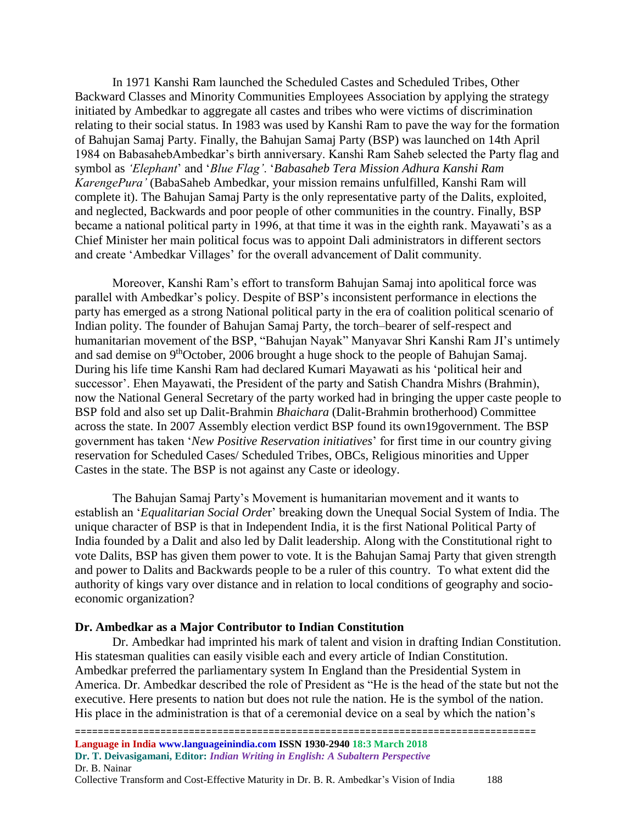In 1971 Kanshi Ram launched the Scheduled Castes and Scheduled Tribes, Other Backward Classes and Minority Communities Employees Association by applying the strategy initiated by Ambedkar to aggregate all castes and tribes who were victims of discrimination relating to their social status. In 1983 was used by Kanshi Ram to pave the way for the formation of Bahujan Samaj Party. Finally, the Bahujan Samaj Party (BSP) was launched on 14th April 1984 on BabasahebAmbedkar's birth anniversary. Kanshi Ram Saheb selected the Party flag and symbol as *'Elephant*' and '*Blue Flag'*. '*Babasaheb Tera Mission Adhura Kanshi Ram KarengePura'* (BabaSaheb Ambedkar, your mission remains unfulfilled, Kanshi Ram will complete it). The Bahujan Samaj Party is the only representative party of the Dalits, exploited, and neglected, Backwards and poor people of other communities in the country. Finally, BSP became a national political party in 1996, at that time it was in the eighth rank. Mayawati's as a Chief Minister her main political focus was to appoint Dali administrators in different sectors and create 'Ambedkar Villages' for the overall advancement of Dalit community.

Moreover, Kanshi Ram's effort to transform Bahujan Samaj into apolitical force was parallel with Ambedkar's policy. Despite of BSP's inconsistent performance in elections the party has emerged as a strong National political party in the era of coalition political scenario of Indian polity. The founder of Bahujan Samaj Party, the torch–bearer of self-respect and humanitarian movement of the BSP, "Bahujan Nayak" Manyavar Shri Kanshi Ram JI's untimely and sad demise on 9thOctober, 2006 brought a huge shock to the people of Bahujan Samaj. During his life time Kanshi Ram had declared Kumari Mayawati as his 'political heir and successor'. Ehen Mayawati, the President of the party and Satish Chandra Mishrs (Brahmin), now the National General Secretary of the party worked had in bringing the upper caste people to BSP fold and also set up Dalit-Brahmin *Bhaichara* (Dalit-Brahmin brotherhood) Committee across the state. In 2007 Assembly election verdict BSP found its own19government. The BSP government has taken '*New Positive Reservation initiatives*' for first time in our country giving reservation for Scheduled Cases/ Scheduled Tribes, OBCs, Religious minorities and Upper Castes in the state. The BSP is not against any Caste or ideology.

The Bahujan Samaj Party's Movement is humanitarian movement and it wants to establish an '*Equalitarian Social Orde*r' breaking down the Unequal Social System of India. The unique character of BSP is that in Independent India, it is the first National Political Party of India founded by a Dalit and also led by Dalit leadership. Along with the Constitutional right to vote Dalits, BSP has given them power to vote. It is the Bahujan Samaj Party that given strength and power to Dalits and Backwards people to be a ruler of this country. To what extent did the authority of kings vary over distance and in relation to local conditions of geography and socioeconomic organization?

#### **Dr. Ambedkar as a Major Contributor to Indian Constitution**

Dr. Ambedkar had imprinted his mark of talent and vision in drafting Indian Constitution. His statesman qualities can easily visible each and every article of Indian Constitution. Ambedkar preferred the parliamentary system In England than the Presidential System in America. Dr. Ambedkar described the role of President as "He is the head of the state but not the executive. Here presents to nation but does not rule the nation. He is the symbol of the nation. His place in the administration is that of a ceremonial device on a seal by which the nation's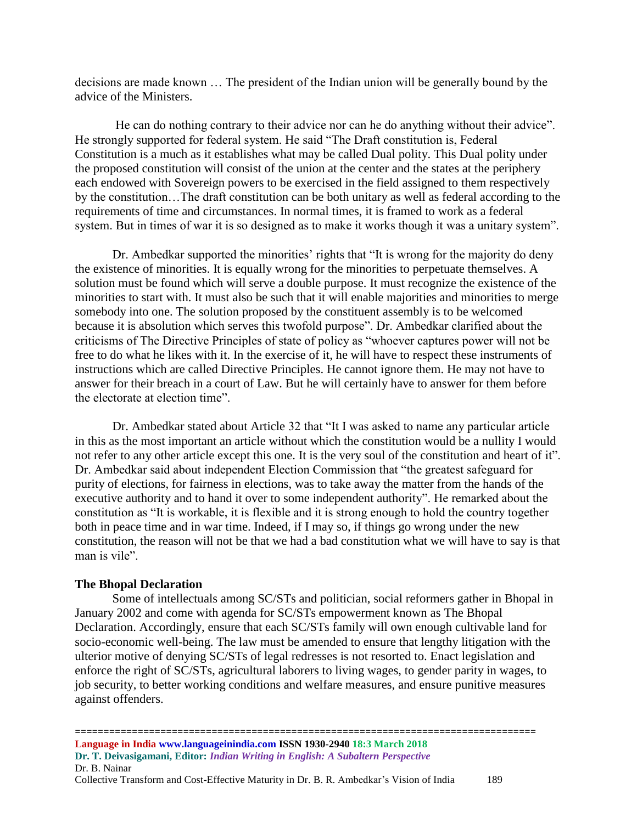decisions are made known … The president of the Indian union will be generally bound by the advice of the Ministers.

He can do nothing contrary to their advice nor can he do anything without their advice". He strongly supported for federal system. He said "The Draft constitution is, Federal Constitution is a much as it establishes what may be called Dual polity. This Dual polity under the proposed constitution will consist of the union at the center and the states at the periphery each endowed with Sovereign powers to be exercised in the field assigned to them respectively by the constitution…The draft constitution can be both unitary as well as federal according to the requirements of time and circumstances. In normal times, it is framed to work as a federal system. But in times of war it is so designed as to make it works though it was a unitary system".

Dr. Ambedkar supported the minorities' rights that "It is wrong for the majority do deny the existence of minorities. It is equally wrong for the minorities to perpetuate themselves. A solution must be found which will serve a double purpose. It must recognize the existence of the minorities to start with. It must also be such that it will enable majorities and minorities to merge somebody into one. The solution proposed by the constituent assembly is to be welcomed because it is absolution which serves this twofold purpose". Dr. Ambedkar clarified about the criticisms of The Directive Principles of state of policy as "whoever captures power will not be free to do what he likes with it. In the exercise of it, he will have to respect these instruments of instructions which are called Directive Principles. He cannot ignore them. He may not have to answer for their breach in a court of Law. But he will certainly have to answer for them before the electorate at election time".

Dr. Ambedkar stated about Article 32 that "It I was asked to name any particular article in this as the most important an article without which the constitution would be a nullity I would not refer to any other article except this one. It is the very soul of the constitution and heart of it". Dr. Ambedkar said about independent Election Commission that "the greatest safeguard for purity of elections, for fairness in elections, was to take away the matter from the hands of the executive authority and to hand it over to some independent authority". He remarked about the constitution as "It is workable, it is flexible and it is strong enough to hold the country together both in peace time and in war time. Indeed, if I may so, if things go wrong under the new constitution, the reason will not be that we had a bad constitution what we will have to say is that man is vile".

## **The Bhopal Declaration**

Some of intellectuals among SC/STs and politician, social reformers gather in Bhopal in January 2002 and come with agenda for SC/STs empowerment known as The Bhopal Declaration. Accordingly, ensure that each SC/STs family will own enough cultivable land for socio-economic well-being. The law must be amended to ensure that lengthy litigation with the ulterior motive of denying SC/STs of legal redresses is not resorted to. Enact legislation and enforce the right of SC/STs, agricultural laborers to living wages, to gender parity in wages, to job security, to better working conditions and welfare measures, and ensure punitive measures against offenders.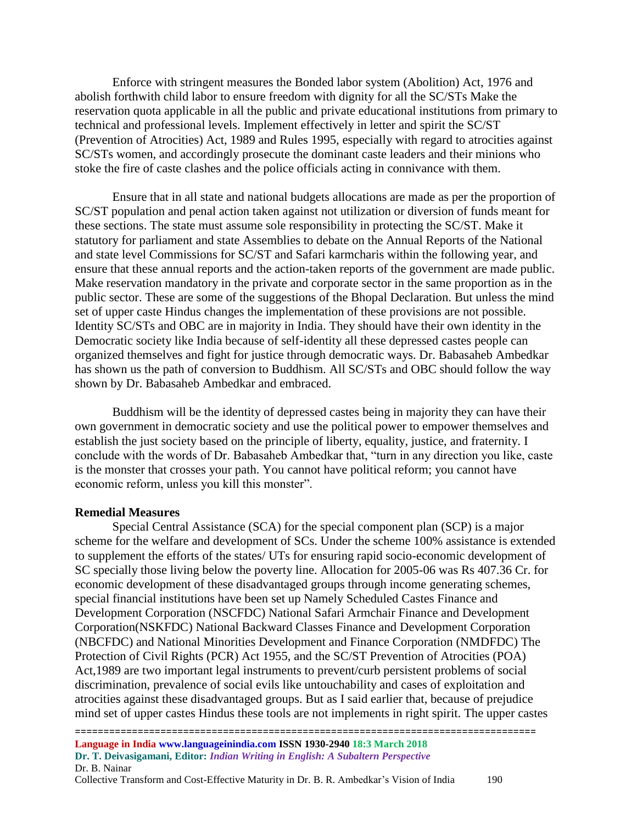Enforce with stringent measures the Bonded labor system (Abolition) Act, 1976 and abolish forthwith child labor to ensure freedom with dignity for all the SC/STs Make the reservation quota applicable in all the public and private educational institutions from primary to technical and professional levels. Implement effectively in letter and spirit the SC/ST (Prevention of Atrocities) Act, 1989 and Rules 1995, especially with regard to atrocities against SC/STs women, and accordingly prosecute the dominant caste leaders and their minions who stoke the fire of caste clashes and the police officials acting in connivance with them.

Ensure that in all state and national budgets allocations are made as per the proportion of SC/ST population and penal action taken against not utilization or diversion of funds meant for these sections. The state must assume sole responsibility in protecting the SC/ST. Make it statutory for parliament and state Assemblies to debate on the Annual Reports of the National and state level Commissions for SC/ST and Safari karmcharis within the following year, and ensure that these annual reports and the action-taken reports of the government are made public. Make reservation mandatory in the private and corporate sector in the same proportion as in the public sector. These are some of the suggestions of the Bhopal Declaration. But unless the mind set of upper caste Hindus changes the implementation of these provisions are not possible. Identity SC/STs and OBC are in majority in India. They should have their own identity in the Democratic society like India because of self-identity all these depressed castes people can organized themselves and fight for justice through democratic ways. Dr. Babasaheb Ambedkar has shown us the path of conversion to Buddhism. All SC/STs and OBC should follow the way shown by Dr. Babasaheb Ambedkar and embraced.

Buddhism will be the identity of depressed castes being in majority they can have their own government in democratic society and use the political power to empower themselves and establish the just society based on the principle of liberty, equality, justice, and fraternity. I conclude with the words of Dr. Babasaheb Ambedkar that, "turn in any direction you like, caste is the monster that crosses your path. You cannot have political reform; you cannot have economic reform, unless you kill this monster".

#### **Remedial Measures**

Special Central Assistance (SCA) for the special component plan (SCP) is a major scheme for the welfare and development of SCs. Under the scheme 100% assistance is extended to supplement the efforts of the states/ UTs for ensuring rapid socio-economic development of SC specially those living below the poverty line. Allocation for 2005-06 was Rs 407.36 Cr. for economic development of these disadvantaged groups through income generating schemes, special financial institutions have been set up Namely Scheduled Castes Finance and Development Corporation (NSCFDC) National Safari Armchair Finance and Development Corporation(NSKFDC) National Backward Classes Finance and Development Corporation (NBCFDC) and National Minorities Development and Finance Corporation (NMDFDC) The Protection of Civil Rights (PCR) Act 1955, and the SC/ST Prevention of Atrocities (POA) Act,1989 are two important legal instruments to prevent/curb persistent problems of social discrimination, prevalence of social evils like untouchability and cases of exploitation and atrocities against these disadvantaged groups. But as I said earlier that, because of prejudice mind set of upper castes Hindus these tools are not implements in right spirit. The upper castes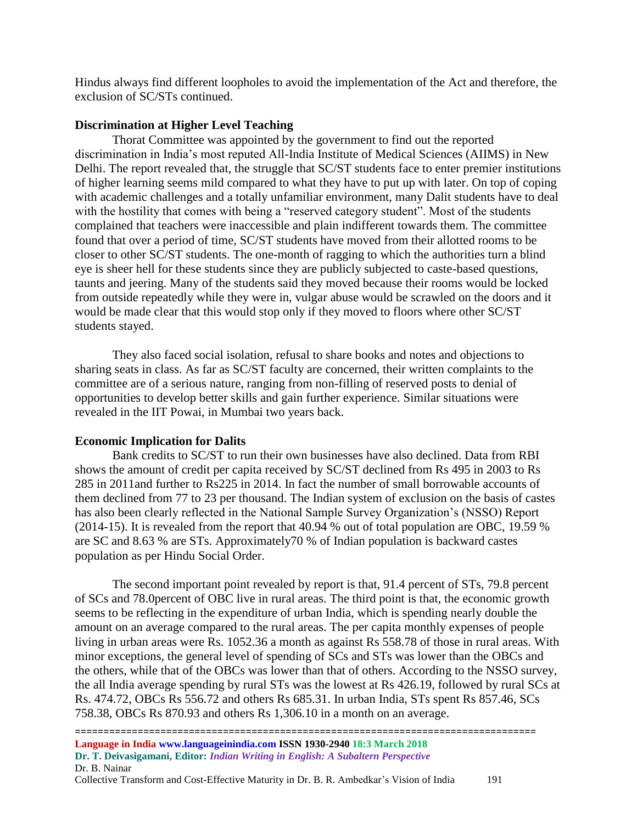Hindus always find different loopholes to avoid the implementation of the Act and therefore, the exclusion of SC/STs continued.

## **Discrimination at Higher Level Teaching**

Thorat Committee was appointed by the government to find out the reported discrimination in India's most reputed All-India Institute of Medical Sciences (AIIMS) in New Delhi. The report revealed that, the struggle that SC/ST students face to enter premier institutions of higher learning seems mild compared to what they have to put up with later. On top of coping with academic challenges and a totally unfamiliar environment, many Dalit students have to deal with the hostility that comes with being a "reserved category student". Most of the students complained that teachers were inaccessible and plain indifferent towards them. The committee found that over a period of time, SC/ST students have moved from their allotted rooms to be closer to other SC/ST students. The one-month of ragging to which the authorities turn a blind eye is sheer hell for these students since they are publicly subjected to caste-based questions, taunts and jeering. Many of the students said they moved because their rooms would be locked from outside repeatedly while they were in, vulgar abuse would be scrawled on the doors and it would be made clear that this would stop only if they moved to floors where other SC/ST students stayed.

They also faced social isolation, refusal to share books and notes and objections to sharing seats in class. As far as SC/ST faculty are concerned, their written complaints to the committee are of a serious nature, ranging from non-filling of reserved posts to denial of opportunities to develop better skills and gain further experience. Similar situations were revealed in the IIT Powai, in Mumbai two years back.

## **Economic Implication for Dalits**

Bank credits to SC/ST to run their own businesses have also declined. Data from RBI shows the amount of credit per capita received by SC/ST declined from Rs 495 in 2003 to Rs 285 in 2011and further to Rs225 in 2014. In fact the number of small borrowable accounts of them declined from 77 to 23 per thousand. The Indian system of exclusion on the basis of castes has also been clearly reflected in the National Sample Survey Organization's (NSSO) Report (2014-15). It is revealed from the report that 40.94 % out of total population are OBC, 19.59 % are SC and 8.63 % are STs. Approximately70 % of Indian population is backward castes population as per Hindu Social Order.

The second important point revealed by report is that, 91.4 percent of STs, 79.8 percent of SCs and 78.0percent of OBC live in rural areas. The third point is that, the economic growth seems to be reflecting in the expenditure of urban India, which is spending nearly double the amount on an average compared to the rural areas. The per capita monthly expenses of people living in urban areas were Rs. 1052.36 a month as against Rs 558.78 of those in rural areas. With minor exceptions, the general level of spending of SCs and STs was lower than the OBCs and the others, while that of the OBCs was lower than that of others. According to the NSSO survey, the all India average spending by rural STs was the lowest at Rs 426.19, followed by rural SCs at Rs. 474.72, OBCs Rs 556.72 and others Rs 685.31. In urban India, STs spent Rs 857.46, SCs 758.38, OBCs Rs 870.93 and others Rs 1,306.10 in a month on an average.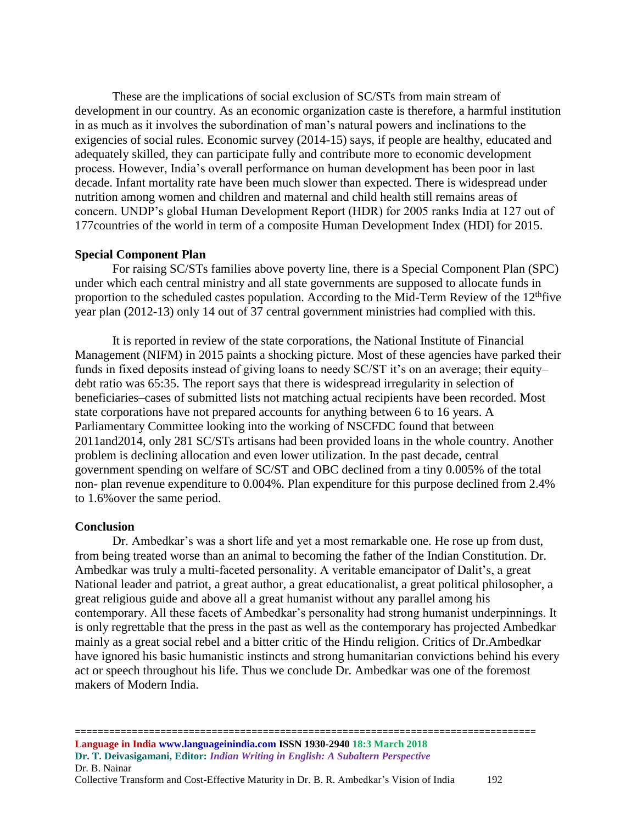These are the implications of social exclusion of SC/STs from main stream of development in our country. As an economic organization caste is therefore, a harmful institution in as much as it involves the subordination of man's natural powers and inclinations to the exigencies of social rules. Economic survey (2014-15) says, if people are healthy, educated and adequately skilled, they can participate fully and contribute more to economic development process. However, India's overall performance on human development has been poor in last decade. Infant mortality rate have been much slower than expected. There is widespread under nutrition among women and children and maternal and child health still remains areas of concern. UNDP's global Human Development Report (HDR) for 2005 ranks India at 127 out of 177countries of the world in term of a composite Human Development Index (HDI) for 2015.

## **Special Component Plan**

For raising SC/STs families above poverty line, there is a Special Component Plan (SPC) under which each central ministry and all state governments are supposed to allocate funds in proportion to the scheduled castes population. According to the Mid-Term Review of the  $12<sup>th</sup>$  five year plan (2012-13) only 14 out of 37 central government ministries had complied with this.

It is reported in review of the state corporations, the National Institute of Financial Management (NIFM) in 2015 paints a shocking picture. Most of these agencies have parked their funds in fixed deposits instead of giving loans to needy SC/ST it's on an average; their equity– debt ratio was 65:35. The report says that there is widespread irregularity in selection of beneficiaries–cases of submitted lists not matching actual recipients have been recorded. Most state corporations have not prepared accounts for anything between 6 to 16 years. A Parliamentary Committee looking into the working of NSCFDC found that between 2011and2014, only 281 SC/STs artisans had been provided loans in the whole country. Another problem is declining allocation and even lower utilization. In the past decade, central government spending on welfare of SC/ST and OBC declined from a tiny 0.005% of the total non- plan revenue expenditure to 0.004%. Plan expenditure for this purpose declined from 2.4% to 1.6%over the same period.

## **Conclusion**

Dr. Ambedkar's was a short life and yet a most remarkable one. He rose up from dust, from being treated worse than an animal to becoming the father of the Indian Constitution. Dr. Ambedkar was truly a multi-faceted personality. A veritable emancipator of Dalit's, a great National leader and patriot, a great author, a great educationalist, a great political philosopher, a great religious guide and above all a great humanist without any parallel among his contemporary. All these facets of Ambedkar's personality had strong humanist underpinnings. It is only regrettable that the press in the past as well as the contemporary has projected Ambedkar mainly as a great social rebel and a bitter critic of the Hindu religion. Critics of Dr.Ambedkar have ignored his basic humanistic instincts and strong humanitarian convictions behind his every act or speech throughout his life. Thus we conclude Dr. Ambedkar was one of the foremost makers of Modern India.